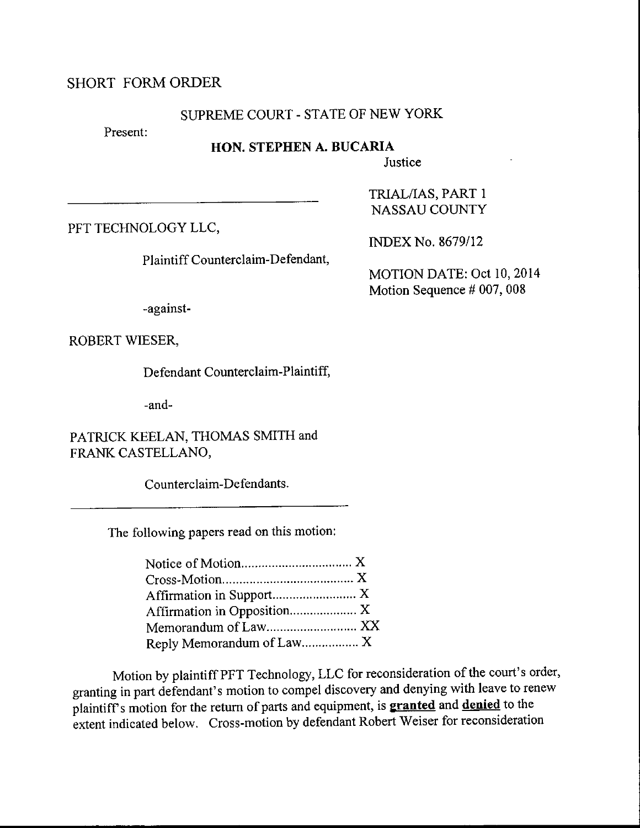## SHORT FORMORDER

# SUPREME COURT - STATE OF NEW YORK

Present:

### HON. STEPHEN A. BUCARIA

Justice

PFT TECHNOLOGY LLC,

INDEX No. 8679/12

TRIALAAS, PART <sup>1</sup> NASSAU COUNTY

Plaintiff Counterclaim-Defendant,

MOTION DATE: Oct 10,2014 Motion Sequence # 007, 008

-against-

ROBERT WIESER,

Defendant Counterclaim-Plaintiff,

-and-

PATRICK KEELAN, THOMAS SMITH and FRANK CASTELLANO,

Counterclaim-Defendants.

The following papers read on this motion:

| Affirmation in Opposition X |  |
|-----------------------------|--|
| Memorandum of Law XX        |  |
| Reply Memorandum of Law X   |  |

Motion by plaintiff PFT Technology, LLC for reconsideration of the court's order, granting in part defendant's motion to compel discovery and denying with leave to renew plaintiff's motion for the return of parts and equipment, is **granted** and denied to the extent indicated below. Cross-motion by defendant Robert Weiser for reconsideration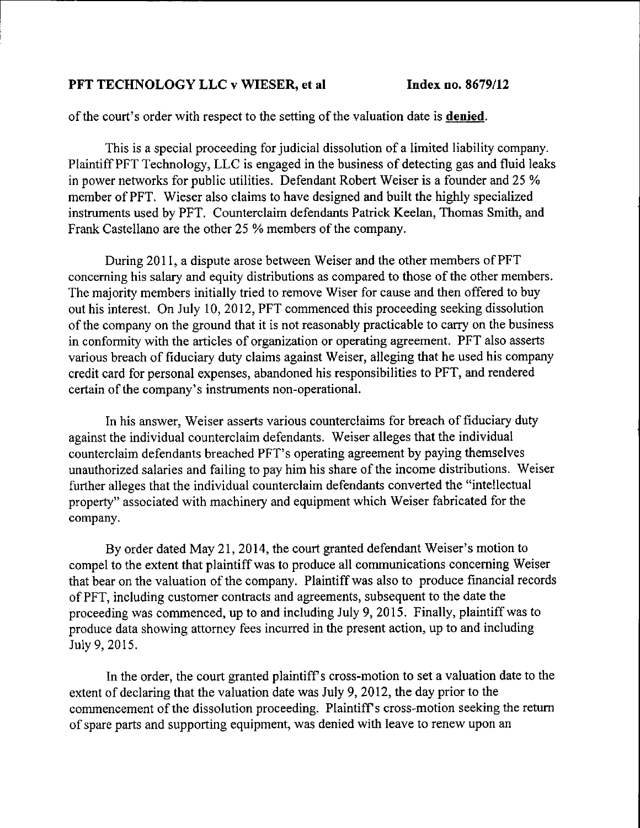#### PFT TECHNOLOGY LLC v WIESER, et al Index no. 8679/12

of the court's order with respect to the setting of the valuation date is **denied**.

This is a special proceeding for judicial dissolution of a limited liability company. Plaintiff PFT Technology, LLC is engaged in the business of detecting gas and fluid leaks in power networks for public utilities. Defendant Robert Weiser is a founder and 25 % member of PFT. Wieser also claims to have designed and built the highly specialized instruments used by PFT. Counterclaim defendants Patrick Keelan, Thomas Smith, and Frank Castellano are the other 25 % members of the company.

During 2011, a dispute arose between Weiser and the other members of PFT concerning his salary and equify distributions as compared to those of the other members. The majority members initially tried to remove Wiser for cause and then offered to buy out his interest. On July 10,2012, PFT commenced this proceeding seeking dissolution of the company on the ground that it is not reasonably practicable to carry on the business in conformity with the articles of organization or operating agreement. PFT also asserts various breach of fiduciary duty claims against Weiser, alleging that he used his company credit card for personal expenses, abandoned his responsibilities to PFT, and rendered certain of the company's instruments non-operational.

In his answer, Weiser asserts various counterclaims for breach of fiduciary duty against the individual counterclaim defendants. Weiser alleges that the individual counterclaim defendants breached PFT's operating agreement by paying themselves unauthorized salaries and failing to pay him his share of the income distributions. Weiser further alleges that the individual counterclaim defendants converted the "intellectual property" associated with machinery and equipment which Weiser fabricated for the company.

By order dated May 21,2014, the court granted defendant Weiser's motion to compel to the extent that plaintiff was to produce all communications conceming Weiser that bear on the valuation of the company. Plaintiff was also to produce financial records of PFT, including customer contracts and agreements, subsequent to the date the proceeding was commenced, up to and including July 9, 2015. Finally, plaintiff was to produce data showing attorney fees incurred in the present action, up to and including July 9, 2015.

In the order, the court granted plaintiff's cross-motion to set a valuation date to the extent of declaring that the valuation date was July 9, 2012, the day prior to the commencement of the dissolution proceeding. Plaintiff's cross-motion seeking the return of spare parts and supporting equipment, was denied with leave to renew upon an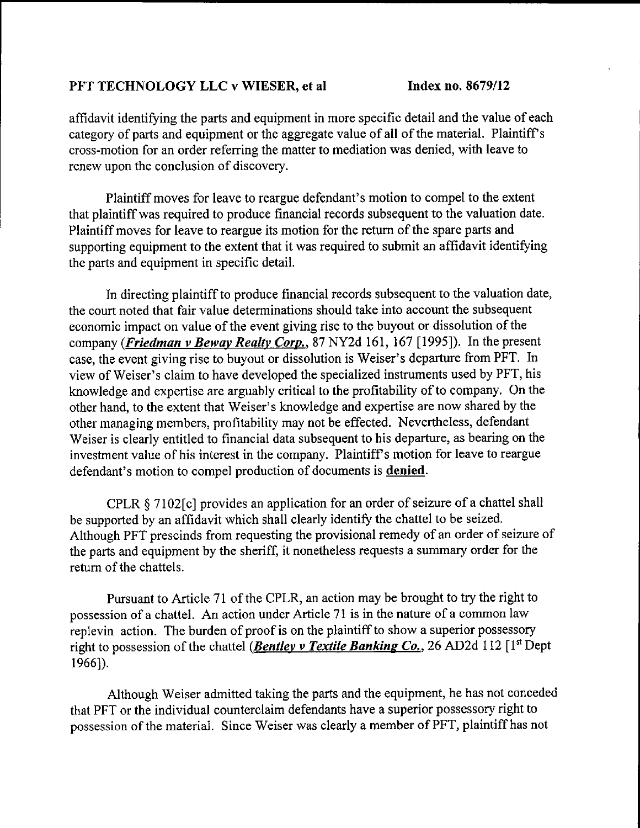# PFT TECHNOLOGY LLC v WIESER, et al Index no. 8679/12

affidavit identifying the parts and equipment in more specific detail and the value of each category of parts and equipment or the aggregate value of all of the material. Plaintiff <sup>s</sup> cross-motion for an order refening the matter to mediation was denied, with leave to renew upon the conclusion of discovery.

Plaintiff moves for leave to reargue defendant's motion to compel to the extent that plaintiff was required to produce financial records subsequent to the valuation date. Plaintiff moves for leave to reargue its motion for the retum of the spare parts and supporting equipment to the extent that it was required to submit an affidavit identifying the parts and equipment in specific detail.

In directing plaintiff to produce financial records subsequent to the valuation date, the court noted that fair value determinations should take into account the subsequent economic impact on value of the event giving rise to the buyout or dissolution of the company (Friedman v Beway Realty Corp., 87 NY2d 161, 167 [1995]). In the present case, the event giving rise to buyout or dissolution is Weiser's departure from PFT. In view of Weiser's claim to have developed the specialized instruments used by PFT, his knowledge and expertise are arguably critical to the profitability of to company. On the other hand, to the extent that Weiser's knowledge and expertise are now shared by the other managing members, profitability may not be effected. Nevertheless, defendant Weiser is clearly entitled to financial data subsequent to his departure, as bearing on the investment value of his interest in the company. Plaintiff's motion for leave to reargue defendant's motion to compel production of documents is **denied**.

CPLR  $\S 7102[c]$  provides an application for an order of seizure of a chattel shall be supported by an affidavit which shall clearly identify the chattel to be seized. Although PFT prescinds from requesting the provisional remedy of an order of seizure of the parts and equipment by the sheriff, it nonetheless requests a summary order for the return of the chattels.

Pursuant to Article 71 of the CPLR, an action may be brought to try the right to possession of a chattel. An action under Article 71 is in the nature of a common law replevin action. The burden of proof is on the plaintiff to show a superior possessory right to possession of the chattel (*Bentley v Textile Banking Co.*, 26 AD2d 112 [1<sup>st</sup> Dept  $1966$ ]).

Although Weiser admitted taking the parts and the equipment, he has not conceded that PFT or the individual counterclaim defendants have a superior possessory right to possession of the material. Since Weiser was clearly a member of PFT, plaintiff has not